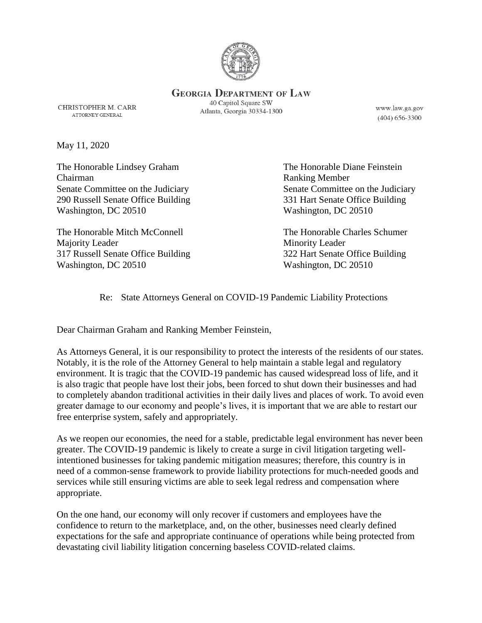

**GEORGIA DEPARTMENT OF LAW** 

**CHRISTOPHER M. CARR** ATTORNEY GENERAL

40 Capitol Square SW Atlanta, Georgia 30334-1300

www.law.ga.gov  $(404)$  656-3300

May 11, 2020

The Honorable Lindsey Graham The Honorable Diane Feinstein Chairman Ranking Member 290 Russell Senate Office Building 331 Hart Senate Office Building Washington, DC 20510 Washington, DC 20510

The Honorable Mitch McConnell The Honorable Charles Schumer Majority Leader Minority Leader 317 Russell Senate Office Building 322 Hart Senate Office Building Washington, DC 20510 Washington, DC 20510

Senate Committee on the Judiciary Senate Committee on the Judiciary

Re: State Attorneys General on COVID-19 Pandemic Liability Protections

Dear Chairman Graham and Ranking Member Feinstein,

As Attorneys General, it is our responsibility to protect the interests of the residents of our states. Notably, it is the role of the Attorney General to help maintain a stable legal and regulatory environment. It is tragic that the COVID-19 pandemic has caused widespread loss of life, and it is also tragic that people have lost their jobs, been forced to shut down their businesses and had to completely abandon traditional activities in their daily lives and places of work. To avoid even greater damage to our economy and people's lives, it is important that we are able to restart our free enterprise system, safely and appropriately.

As we reopen our economies, the need for a stable, predictable legal environment has never been greater. The COVID-19 pandemic is likely to create a surge in civil litigation targeting wellintentioned businesses for taking pandemic mitigation measures; therefore, this country is in need of a common-sense framework to provide liability protections for much-needed goods and services while still ensuring victims are able to seek legal redress and compensation where appropriate.

On the one hand, our economy will only recover if customers and employees have the confidence to return to the marketplace, and, on the other, businesses need clearly defined expectations for the safe and appropriate continuance of operations while being protected from devastating civil liability litigation concerning baseless COVID-related claims.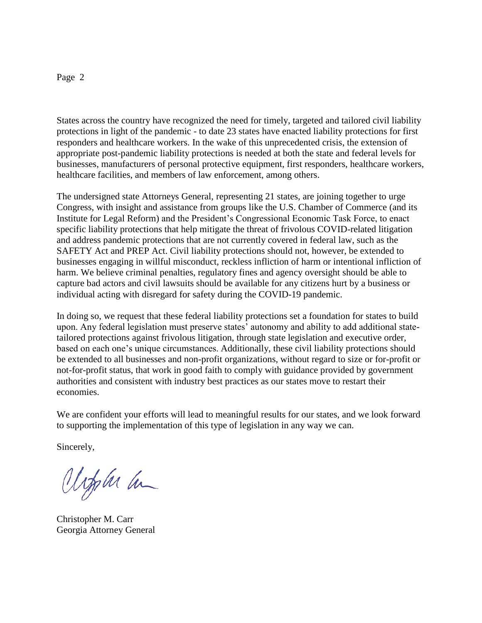## Page 2

States across the country have recognized the need for timely, targeted and tailored civil liability protections in light of the pandemic - to date 23 states have enacted liability protections for first responders and healthcare workers. In the wake of this unprecedented crisis, the extension of appropriate post-pandemic liability protections is needed at both the state and federal levels for businesses, manufacturers of personal protective equipment, first responders, healthcare workers, healthcare facilities, and members of law enforcement, among others.

The undersigned state Attorneys General, representing 21 states, are joining together to urge Congress, with insight and assistance from groups like the U.S. Chamber of Commerce (and its Institute for Legal Reform) and the President's Congressional Economic Task Force, to enact specific liability protections that help mitigate the threat of frivolous COVID-related litigation and address pandemic protections that are not currently covered in federal law, such as the SAFETY Act and PREP Act. Civil liability protections should not, however, be extended to businesses engaging in willful misconduct, reckless infliction of harm or intentional infliction of harm. We believe criminal penalties, regulatory fines and agency oversight should be able to capture bad actors and civil lawsuits should be available for any citizens hurt by a business or individual acting with disregard for safety during the COVID-19 pandemic.

In doing so, we request that these federal liability protections set a foundation for states to build upon. Any federal legislation must preserve states' autonomy and ability to add additional statetailored protections against frivolous litigation, through state legislation and executive order, based on each one's unique circumstances. Additionally, these civil liability protections should be extended to all businesses and non-profit organizations, without regard to size or for-profit or not-for-profit status, that work in good faith to comply with guidance provided by government authorities and consistent with industry best practices as our states move to restart their economies.

We are confident your efforts will lead to meaningful results for our states, and we look forward to supporting the implementation of this type of legislation in any way we can.

Sincerely,

Urphi ha

Christopher M. Carr Georgia Attorney General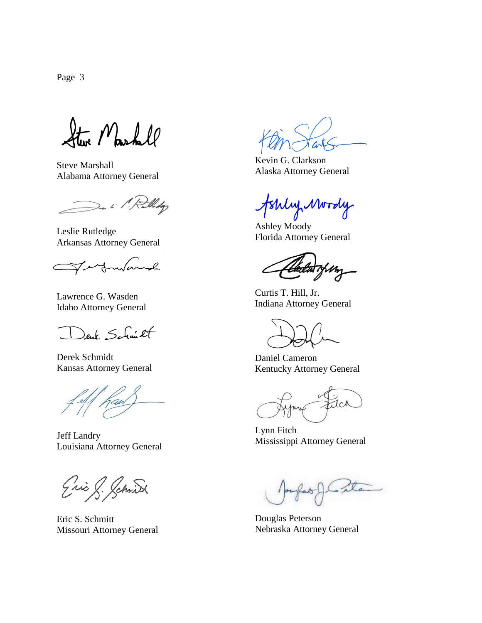Page 3

Steve Mashall

Steve Marshall Alabama Attorney General

De il Rollidge

Leslie Rutledge Arkansas Attorney General

 $\sim$  $\mathscr{L}$ Ć

Lawrence G. Wasden Idaho Attorney General

euk Schmitt

Derek Schmidt Kansas Attorney General

Jeff Landry Louisiana Attorney General

Eric S. Schnid

Eric S. Schmitt Missouri Attorney General

Kevin G. Clarkson Alaska Attorney General

Johly Mordy

Ashley Moody Florida Attorney General

Curtis T. Hill, Jr. Indiana Attorney General

Daniel Cameron Kentucky Attorney General

JCA

Lynn Fitch Mississippi Attorney General

- la

Douglas Peterson Nebraska Attorney General